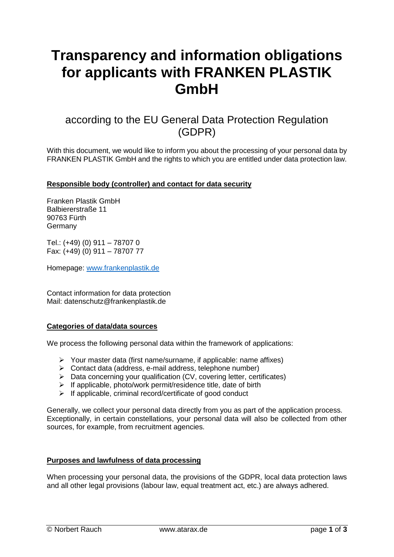# **Transparency and information obligations for applicants with FRANKEN PLASTIK GmbH**

# according to the EU General Data Protection Regulation (GDPR)

With this document, we would like to inform you about the processing of your personal data by FRANKEN PLASTIK GmbH and the rights to which you are entitled under data protection law.

## **Responsible body (controller) and contact for data security**

Franken Plastik GmbH Balbiererstraße 11 90763 Fürth Germany

Tel.: (+49) (0) 911 – 78707 0 Fax: (+49) (0) 911 – 78707 77

Homepage: [www.frankenplastik.de](http://www.frankenplastik.de/)

Contact information for data protection Mail: datenschutz@frankenplastik.de

#### **Categories of data/data sources**

We process the following personal data within the framework of applications:

- Your master data (first name/surname, if applicable: name affixes)
- $\triangleright$  Contact data (address, e-mail address, telephone number)
- $\triangleright$  Data concerning your qualification (CV, covering letter, certificates)
- $\triangleright$  If applicable, photo/work permit/residence title, date of birth
- $\triangleright$  If applicable, criminal record/certificate of good conduct

Generally, we collect your personal data directly from you as part of the application process. Exceptionally, in certain constellations, your personal data will also be collected from other sources, for example, from recruitment agencies.

#### **Purposes and lawfulness of data processing**

When processing your personal data, the provisions of the GDPR, local data protection laws and all other legal provisions (labour law, equal treatment act, etc.) are always adhered.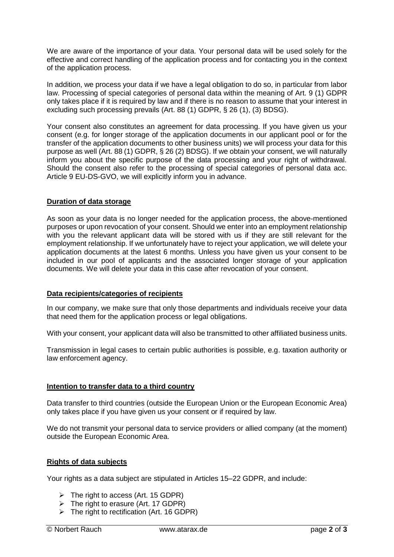We are aware of the importance of your data. Your personal data will be used solely for the effective and correct handling of the application process and for contacting you in the context of the application process.

In addition, we process your data if we have a legal obligation to do so, in particular from labor law. Processing of special categories of personal data within the meaning of Art. 9 (1) GDPR only takes place if it is required by law and if there is no reason to assume that your interest in excluding such processing prevails (Art. 88 (1) GDPR, § 26 (1), (3) BDSG).

Your consent also constitutes an agreement for data processing. If you have given us your consent (e.g. for longer storage of the application documents in our applicant pool or for the transfer of the application documents to other business units) we will process your data for this purpose as well (Art. 88 (1) GDPR, § 26 (2) BDSG). If we obtain your consent, we will naturally inform you about the specific purpose of the data processing and your right of withdrawal. Should the consent also refer to the processing of special categories of personal data acc. Article 9 EU-DS-GVO, we will explicitly inform you in advance.

# **Duration of data storage**

As soon as your data is no longer needed for the application process, the above-mentioned purposes or upon revocation of your consent. Should we enter into an employment relationship with you the relevant applicant data will be stored with us if they are still relevant for the employment relationship. If we unfortunately have to reject your application, we will delete your application documents at the latest 6 months. Unless you have given us your consent to be included in our pool of applicants and the associated longer storage of your application documents. We will delete your data in this case after revocation of your consent.

## **Data recipients/categories of recipients**

In our company, we make sure that only those departments and individuals receive your data that need them for the application process or legal obligations.

With your consent, your applicant data will also be transmitted to other affiliated business units.

Transmission in legal cases to certain public authorities is possible, e.g. taxation authority or law enforcement agency.

## **Intention to transfer data to a third country**

Data transfer to third countries (outside the European Union or the European Economic Area) only takes place if you have given us your consent or if required by law.

We do not transmit your personal data to service providers or allied company (at the moment) outside the European Economic Area.

#### **Rights of data subjects**

Your rights as a data subject are stipulated in Articles 15–22 GDPR, and include:

- $\triangleright$  The right to access (Art. 15 GDPR)
- $\triangleright$  The right to erasure (Art. 17 GDPR)
- $\triangleright$  The right to rectification (Art. 16 GDPR)